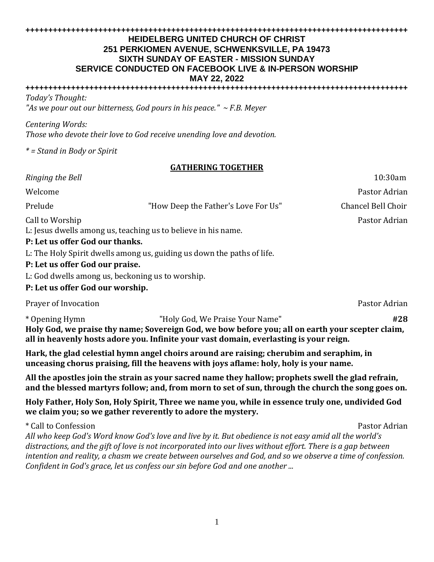#### **++++++++++++++++++++++++++++++++++++++++++++++++++++++++++++++++++++++++++++++++++++ HEIDELBERG UNITED CHURCH OF CHRIST 251 PERKIOMEN AVENUE, SCHWENKSVILLE, PA 19473 SIXTH SUNDAY OF EASTER - MISSION SUNDAY SERVICE CONDUCTED ON FACEBOOK LIVE & IN-PERSON WORSHIP MAY 22, 2022**

**++++++++++++++++++++++++++++++++++++++++++++++++++++++++++++++++++++++++++++++++++++** *Today's Thought:*

*"As we pour out our bitterness, God pours in his peace." ~ F.B. Meyer*

*Centering Words:* 

*Those who devote their love to God receive unending love and devotion.*

*\* = Stand in Body or Spirit*

# **GATHERING TOGETHER**

| Ringing the Bell                                                                 |                                                                        | 10:30am            |  |
|----------------------------------------------------------------------------------|------------------------------------------------------------------------|--------------------|--|
| Welcome                                                                          |                                                                        | Pastor Adrian      |  |
| Prelude                                                                          | "How Deep the Father's Love For Us"                                    | Chancel Bell Choir |  |
| Call to Worship<br>L: Jesus dwells among us, teaching us to believe in his name. |                                                                        | Pastor Adrian      |  |
| P: Let us offer God our thanks.                                                  |                                                                        |                    |  |
|                                                                                  | L: The Holy Spirit dwells among us, guiding us down the paths of life. |                    |  |
| P: Let us offer God our praise.                                                  |                                                                        |                    |  |

L: God dwells among us, beckoning us to worship.

# **P: Let us offer God our worship.**

Prayer of Invocation **Properties and Contract Contract Contract Contract Contract Contract Contract Contract Contract Contract Contract Contract Contract Contract Contract Contract Contract Contract Contract Contract Contr** 

\* Opening Hymn "Holy God, We Praise Your Name" **#28 Holy God, we praise thy name; Sovereign God, we bow before you; all on earth your scepter claim, all in heavenly hosts adore you. Infinite your vast domain, everlasting is your reign.**

**Hark, the glad celestial hymn angel choirs around are raising; cherubim and seraphim, in unceasing chorus praising, fill the heavens with joys aflame: holy, holy is your name.**

**All the apostles join the strain as your sacred name they hallow; prophets swell the glad refrain, and the blessed martyrs follow; and, from morn to set of sun, through the church the song goes on.**

**Holy Father, Holy Son, Holy Spirit, Three we name you, while in essence truly one, undivided God we claim you; so we gather reverently to adore the mystery.**

\* Call to Confession Pastor Adrian Pastor Adrian Pastor Adrian Pastor Adrian Pastor Adrian Pastor Adrian Pastor Adrian Pastor Adrian Pastor Adrian Pastor Adrian Pastor Adrian Pastor Adrian Pastor Adrian Pastor Adrian Pasto *All who keep God's Word know God's love and live by it. But obedience is not easy amid all the world's distractions, and the gift of love is not incorporated into our lives without effort. There is a gap between intention and reality, a chasm we create between ourselves and God, and so we observe a time of confession. Confident in God's grace, let us confess our sin before God and one another ...*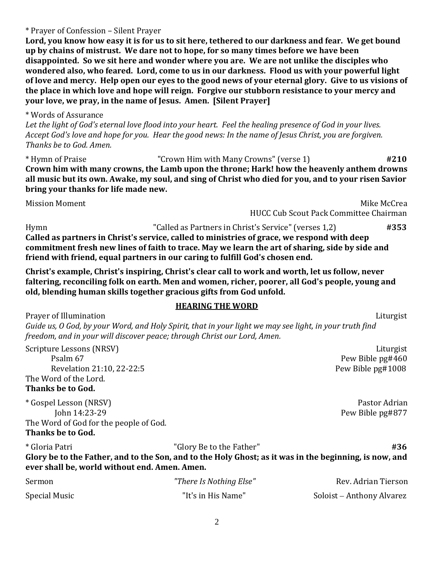\* Prayer of Confession – Silent Prayer

**Lord, you know how easy it is for us to sit here, tethered to our darkness and fear. We get bound up by chains of mistrust. We dare not to hope, for so many times before we have been disappointed. So we sit here and wonder where you are. We are not unlike the disciples who wondered also, who feared. Lord, come to us in our darkness. Flood us with your powerful light of love and mercy. Help open our eyes to the good news of your eternal glory. Give to us visions of the place in which love and hope will reign. Forgive our stubborn resistance to your mercy and your love, we pray, in the name of Jesus. Amen. [Silent Prayer]**

### \* Words of Assurance

*Let the light of God's eternal love flood into your heart. Feel the healing presence of God in your lives. Accept God's love and hope for you. Hear the good news: In the name of Jesus Christ, you are forgiven. Thanks be to God. Amen.*

\* Hymn of Praise "Crown Him with Many Crowns" (verse 1) **#210 Crown him with many crowns, the Lamb upon the throne; Hark! how the heavenly anthem drowns all music but its own. Awake, my soul, and sing of Christ who died for you, and to your risen Savior bring your thanks for life made new.**

Mission Moment **Mike McCreation** Mike McCreation **Mike McCreation** Mike McCreation **Mike McCreation** 

HUCC Cub Scout Pack Committee Chairman

Hymn "Called as Partners in Christ's Service" (verses 1,2) **#353 Called as partners in Christ's service, called to ministries of grace, we respond with deep commitment fresh new lines of faith to trace. May we learn the art of sharing, side by side and friend with friend, equal partners in our caring to fulfill God's chosen end.** 

**Christ's example, Christ's inspiring, Christ's clear call to work and worth, let us follow, never faltering, reconciling folk on earth. Men and women, richer, poorer, all God's people, young and old, blending human skills together gracious gifts from God unfold.**

#### **HEARING THE WORD**

Prayer of Illumination **Liturgist** *Guide us, O God, by your Word, and Holy Spirit, that in your light we may see light, in your truth find freedom, and in your will discover peace; through Christ our Lord, Amen.*

Scripture Lessons (NRSV) Liturgist Psalm 67Pew Bible pg#460 Revelation 21:10, 22-22:5 Pew Bible pg#1008 The Word of the Lord.

**Thanks be to God.**

\* Gospel Lesson (NRSV) Pastor Adrian John 14:23-29 Pew Bible pg#877 The Word of God for the people of God. **Thanks be to God.**

| * Gloria Patri                                                                                         | "Glory Be to the Father" | #36 |
|--------------------------------------------------------------------------------------------------------|--------------------------|-----|
| Glory be to the Father, and to the Son, and to the Holy Ghost; as it was in the beginning, is now, and |                          |     |
| ever shall be, world without end. Amen. Amen.                                                          |                          |     |

| Sermon        | "There Is Nothing Else" | Rev. Adrian Tierson       |
|---------------|-------------------------|---------------------------|
| Special Music | "It's in His Name"      | Soloist – Anthony Alvarez |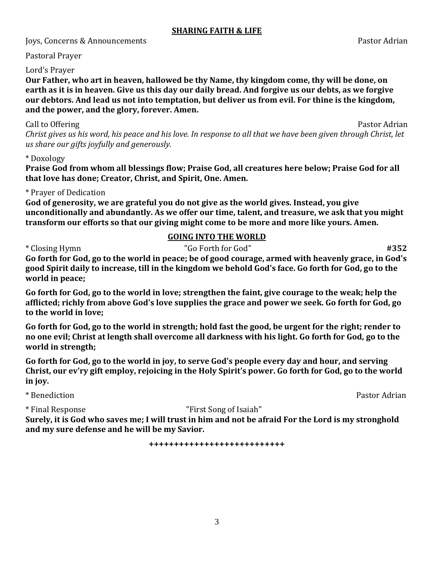### **SHARING FAITH & LIFE**

Joys, Concerns & Announcements Pastor Adrian

Pastoral Prayer

## Lord's Prayer

**Our Father, who art in heaven, hallowed be thy Name, thy kingdom come, thy will be done, on earth as it is in heaven. Give us this day our daily bread. And forgive us our debts, as we forgive our debtors. And lead us not into temptation, but deliver us from evil. For thine is the kingdom, and the power, and the glory, forever. Amen.**

### Call to Offering **Pastor Adrian**

*Christ gives us his word, his peace and his love. In response to all that we have been given through Christ, let us share our gifts joyfully and generously.*

## \* Doxology

**Praise God from whom all blessings flow; Praise God, all creatures here below; Praise God for all that love has done; Creator, Christ, and Spirit, One. Amen.**

# \* Prayer of Dedication

**God of generosity, we are grateful you do not give as the world gives. Instead, you give unconditionally and abundantly. As we offer our time, talent, and treasure, we ask that you might transform our efforts so that our giving might come to be more and more like yours. Amen.**

# **GOING INTO THE WORLD**

# \* Closing Hymn "Go Forth for God" **#352**

**Go forth for God, go to the world in peace; be of good courage, armed with heavenly grace, in God's good Spirit daily to increase, till in the kingdom we behold God's face. Go forth for God, go to the world in peace;** 

**Go forth for God, go to the world in love; strengthen the faint, give courage to the weak; help the afflicted; richly from above God's love supplies the grace and power we seek. Go forth for God, go to the world in love;** 

**Go forth for God, go to the world in strength; hold fast the good, be urgent for the right; render to no one evil; Christ at length shall overcome all darkness with his light. Go forth for God, go to the world in strength;** 

**Go forth for God, go to the world in joy, to serve God's people every day and hour, and serving Christ, our ev'ry gift employ, rejoicing in the Holy Spirit's power. Go forth for God, go to the world in joy.**

\* Benediction Pastor Adrian

\* Final Response "First Song of Isaiah"

**Surely, it is God who saves me; I will trust in him and not be afraid For the Lord is my stronghold and my sure defense and he will be my Savior.**

**+++++++++++++++++++++++++++**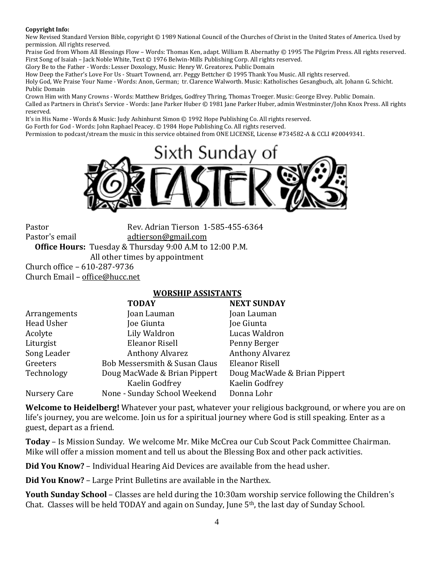#### **Copyright Info:**

New Revised Standard Version Bible, copyright © 1989 National Council of the Churches of Christ in the United States of America. Used by permission. All rights reserved.

Praise God from Whom All Blessings Flow – Words: Thomas Ken, adapt. William B. Abernathy © 1995 The Pilgrim Press. All rights reserved. First Song of Isaiah – Jack Noble White, Text © 1976 Belwin-Mills Publishing Corp. All rights reserved.

Glory Be to the Father - Words: Lesser Doxology, Music: Henry W. Greatorex. Public Domain

How Deep the Father's Love For Us - Stuart Townend, arr. Peggy Bettcher © 1995 Thank You Music. All rights reserved.

Holy God, We Praise Your Name - Words: Anon, German; tr. Clarence Walworth. Music: Katholisches Gesangbuch, alt. Johann G. Schicht. Public Domain

Crown Him with Many Crowns - Words: Matthew Bridges, Godfrey Thring, Thomas Troeger. Music: George Elvey. Public Domain. Called as Partners in Christ's Service - Words: Jane Parker Huber © 1981 Jane Parker Huber, admin Westminster/John Knox Press. All rights reserved.

It's in His Name - Words & Music: Judy Ashinhurst Simon © 1992 Hope Publishing Co. All rights reserved.

Go Forth for God - Words: John Raphael Peacey. © 1984 Hope Publishing Co. All rights reserved.

Permission to podcast/stream the music in this service obtained from ONE LICENSE, License #734582-A & CCLI #20049341.



Pastor Rev. Adrian Tierson 1-585-455-6364 Pastor's email [adtierson@gmail.com](mailto:adtierson@gmail.com) **Office Hours:** Tuesday & Thursday 9:00 A.M to 12:00 P.M. All other times by appointment Church office – 610-287-9736 Church Email – [office@hucc.net](mailto:office@hucc.net)

#### **WORSHIP ASSISTANTS**

|                   | <b>TODAY</b>                  | <b>NEXT SUNDAY</b>           |
|-------------------|-------------------------------|------------------------------|
| Arrangements      | Joan Lauman                   | Joan Lauman                  |
| <b>Head Usher</b> | Joe Giunta                    | Joe Giunta                   |
| Acolyte           | Lily Waldron                  | Lucas Waldron                |
| Liturgist         | Eleanor Risell                | Penny Berger                 |
| Song Leader       | <b>Anthony Alvarez</b>        | <b>Anthony Alvarez</b>       |
| Greeters          | Bob Messersmith & Susan Claus | <b>Eleanor Risell</b>        |
| Technology        | Doug MacWade & Brian Pippert  | Doug MacWade & Brian Pippert |
|                   | Kaelin Godfrey                | Kaelin Godfrey               |
| Nursery Care      | None - Sunday School Weekend  | Donna Lohr                   |

**Welcome to Heidelberg!** Whatever your past, whatever your religious background, or where you are on life's journey, you are welcome. Join us for a spiritual journey where God is still speaking. Enter as a guest, depart as a friend.

**Today** – Is Mission Sunday. We welcome Mr. Mike McCrea our Cub Scout Pack Committee Chairman. Mike will offer a mission moment and tell us about the Blessing Box and other pack activities.

**Did You Know?** – Individual Hearing Aid Devices are available from the head usher.

**Did You Know?** – Large Print Bulletins are available in the Narthex.

**Youth Sunday School** – Classes are held during the 10:30am worship service following the Children's Chat. Classes will be held TODAY and again on Sunday, June 5th, the last day of Sunday School.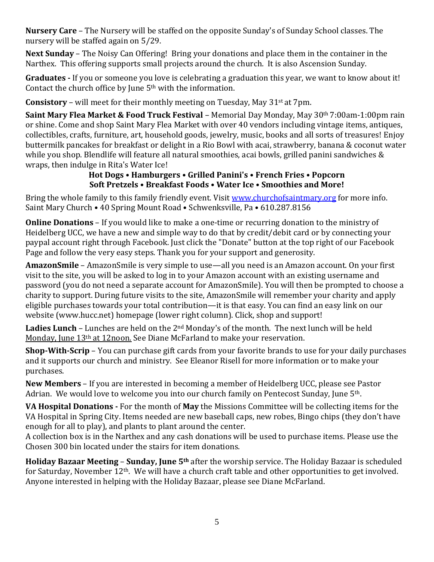**Nursery Care** – The Nursery will be staffed on the opposite Sunday's of Sunday School classes. The nursery will be staffed again on 5/29.

**Next Sunday** – The Noisy Can Offering! Bring your donations and place them in the container in the Narthex. This offering supports small projects around the church. It is also Ascension Sunday.

**Graduates -** If you or someone you love is celebrating a graduation this year, we want to know about it! Contact the church office by June 5th with the information.

**Consistory** – will meet for their monthly meeting on Tuesday, May 31<sup>st</sup> at 7pm.

**Saint Mary Flea Market & Food Truck Festival** – Memorial Day Monday, May 30th 7:00am-1:00pm rain or shine. Come and shop Saint Mary Flea Market with over 40 vendors including vintage items, antiques, collectibles, crafts, furniture, art, household goods, jewelry, music, books and all sorts of treasures! Enjoy buttermilk pancakes for breakfast or delight in a Rio Bowl with acai, strawberry, banana & coconut water while you shop. Blendlife will feature all natural smoothies, acai bowls, grilled panini sandwiches & wraps, then indulge in Rita's Water Ice!

# **Hot Dogs • Hamburgers • Grilled Panini's • French Fries • Popcorn Soft Pretzels • Breakfast Foods • Water Ice • Smoothies and More!**

Bring the whole family to this family friendly event. Visit [www.churchofsaintmary.org](http://www.churchofsaintmary.org/) for more info. Saint Mary Church • 40 Spring Mount Road • Schwenksville, Pa • 610.287.8156

**Online Donations** – If you would like to make a one-time or recurring donation to the ministry of Heidelberg UCC, we have a new and simple way to do that by credit/debit card or by connecting your paypal account right through Facebook. Just click the "Donate" button at the top right of our Facebook Page and follow the very easy steps. Thank you for your support and generosity.

**AmazonSmile** – AmazonSmile is very simple to use—all you need is an Amazon account. On your first visit to the site, you will be asked to log in to your Amazon account with an existing username and password (you do not need a separate account for AmazonSmile). You will then be prompted to choose a charity to support. During future visits to the site, AmazonSmile will remember your charity and apply eligible purchases towards your total contribution—it is that easy. You can find an easy link on our website (www.hucc.net) homepage (lower right column). Click, shop and support!

Ladies Lunch – Lunches are held on the 2<sup>nd</sup> Monday's of the month. The next lunch will be held Monday, June 13<sup>th</sup> at 12noon. See Diane McFarland to make your reservation.

**Shop-With-Scrip** – You can purchase gift cards from your favorite brands to use for your daily purchases and it supports our church and ministry. See Eleanor Risell for more information or to make your purchases.

**New Members** – If you are interested in becoming a member of Heidelberg UCC, please see Pastor Adrian. We would love to welcome you into our church family on Pentecost Sunday, June 5<sup>th</sup>.

**VA Hospital Donations -** For the month of **May** the Missions Committee will be collecting items for the VA Hospital in Spring City. Items needed are new baseball caps, new robes, Bingo chips (they don't have enough for all to play), and plants to plant around the center.

A collection box is in the Narthex and any cash donations will be used to purchase items. Please use the Chosen 300 bin located under the stairs for item donations.

**Holiday Bazaar Meeting** – **Sunday, June 5th** after the worship service. The Holiday Bazaar is scheduled for Saturday, November 12th. We will have a church craft table and other opportunities to get involved. Anyone interested in helping with the Holiday Bazaar, please see Diane McFarland.